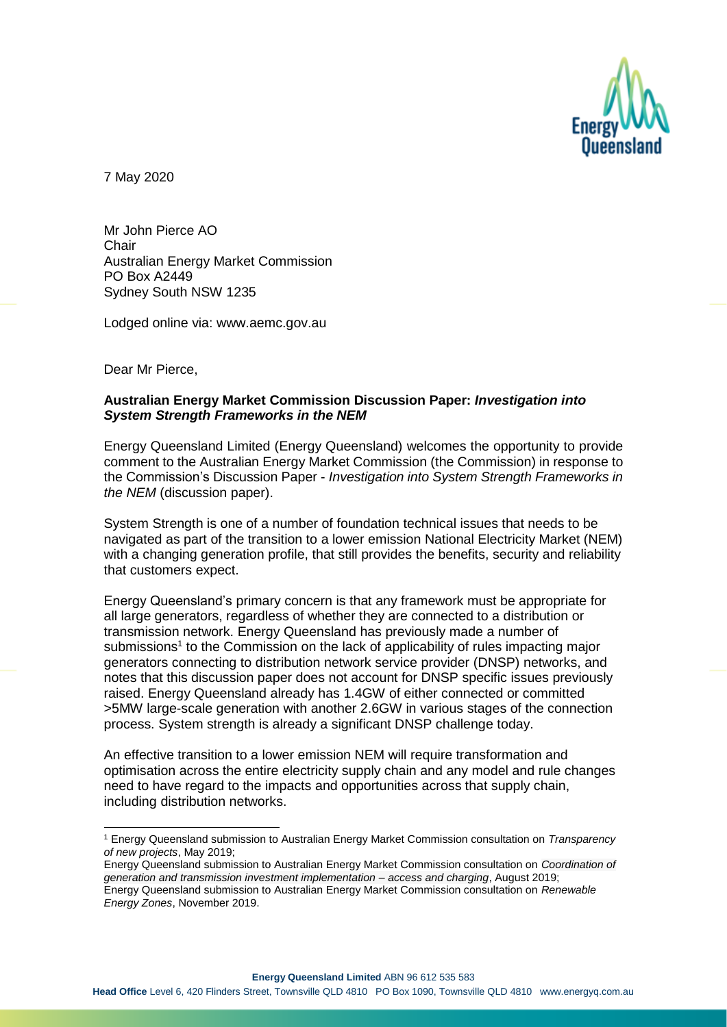

7 May 2020

Mr John Pierce AO **Chair** Australian Energy Market Commission PO Box A2449 Sydney South NSW 1235

Lodged online via: www.aemc.gov.au

Dear Mr Pierce,

## **Australian Energy Market Commission Discussion Paper:** *Investigation into System Strength Frameworks in the NEM*

Energy Queensland Limited (Energy Queensland) welcomes the opportunity to provide comment to the Australian Energy Market Commission (the Commission) in response to the Commission's Discussion Paper - *Investigation into System Strength Frameworks in the NEM* (discussion paper).

System Strength is one of a number of foundation technical issues that needs to be navigated as part of the transition to a lower emission National Electricity Market (NEM) with a changing generation profile, that still provides the benefits, security and reliability that customers expect.

Energy Queensland's primary concern is that any framework must be appropriate for all large generators, regardless of whether they are connected to a distribution or transmission network. Energy Queensland has previously made a number of submissions<sup>1</sup> to the Commission on the lack of applicability of rules impacting major generators connecting to distribution network service provider (DNSP) networks, and notes that this discussion paper does not account for DNSP specific issues previously raised. Energy Queensland already has 1.4GW of either connected or committed >5MW large-scale generation with another 2.6GW in various stages of the connection process. System strength is already a significant DNSP challenge today.

An effective transition to a lower emission NEM will require transformation and optimisation across the entire electricity supply chain and any model and rule changes need to have regard to the impacts and opportunities across that supply chain, including distribution networks.

**Energy Queensland Limited** ABN 96 612 535 583

<sup>1</sup> <sup>1</sup> Energy Queensland submission to Australian Energy Market Commission consultation on *Transparency of new projects*, May 2019;

Energy Queensland submission to Australian Energy Market Commission consultation on *Coordination of generation and transmission investment implementation – access and charging*, August 2019; Energy Queensland submission to Australian Energy Market Commission consultation on *Renewable Energy Zones*, November 2019.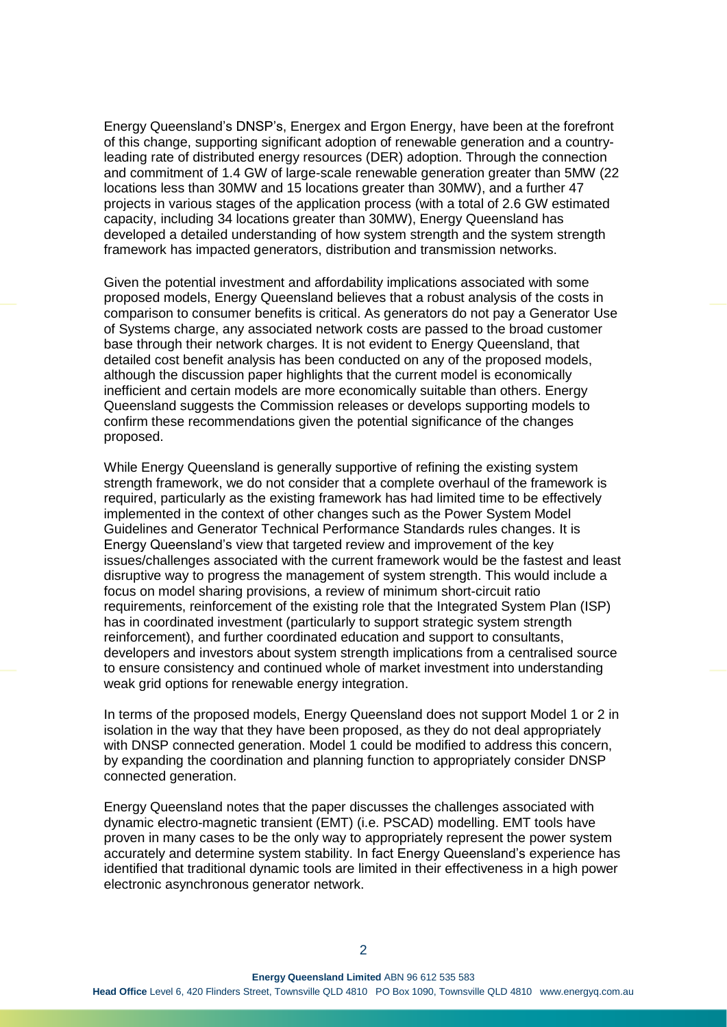Energy Queensland's DNSP's, Energex and Ergon Energy, have been at the forefront of this change, supporting significant adoption of renewable generation and a countryleading rate of distributed energy resources (DER) adoption. Through the connection and commitment of 1.4 GW of large-scale renewable generation greater than 5MW (22 locations less than 30MW and 15 locations greater than 30MW), and a further 47 projects in various stages of the application process (with a total of 2.6 GW estimated capacity, including 34 locations greater than 30MW), Energy Queensland has developed a detailed understanding of how system strength and the system strength framework has impacted generators, distribution and transmission networks.

Given the potential investment and affordability implications associated with some proposed models, Energy Queensland believes that a robust analysis of the costs in comparison to consumer benefits is critical. As generators do not pay a Generator Use of Systems charge, any associated network costs are passed to the broad customer base through their network charges. It is not evident to Energy Queensland, that detailed cost benefit analysis has been conducted on any of the proposed models, although the discussion paper highlights that the current model is economically inefficient and certain models are more economically suitable than others. Energy Queensland suggests the Commission releases or develops supporting models to confirm these recommendations given the potential significance of the changes proposed.

While Energy Queensland is generally supportive of refining the existing system strength framework, we do not consider that a complete overhaul of the framework is required, particularly as the existing framework has had limited time to be effectively implemented in the context of other changes such as the Power System Model Guidelines and Generator Technical Performance Standards rules changes. It is Energy Queensland's view that targeted review and improvement of the key issues/challenges associated with the current framework would be the fastest and least disruptive way to progress the management of system strength. This would include a focus on model sharing provisions, a review of minimum short-circuit ratio requirements, reinforcement of the existing role that the Integrated System Plan (ISP) has in coordinated investment (particularly to support strategic system strength reinforcement), and further coordinated education and support to consultants, developers and investors about system strength implications from a centralised source to ensure consistency and continued whole of market investment into understanding weak grid options for renewable energy integration.

In terms of the proposed models, Energy Queensland does not support Model 1 or 2 in isolation in the way that they have been proposed, as they do not deal appropriately with DNSP connected generation. Model 1 could be modified to address this concern, by expanding the coordination and planning function to appropriately consider DNSP connected generation.

Energy Queensland notes that the paper discusses the challenges associated with dynamic electro-magnetic transient (EMT) (i.e. PSCAD) modelling. EMT tools have proven in many cases to be the only way to appropriately represent the power system accurately and determine system stability. In fact Energy Queensland's experience has identified that traditional dynamic tools are limited in their effectiveness in a high power electronic asynchronous generator network.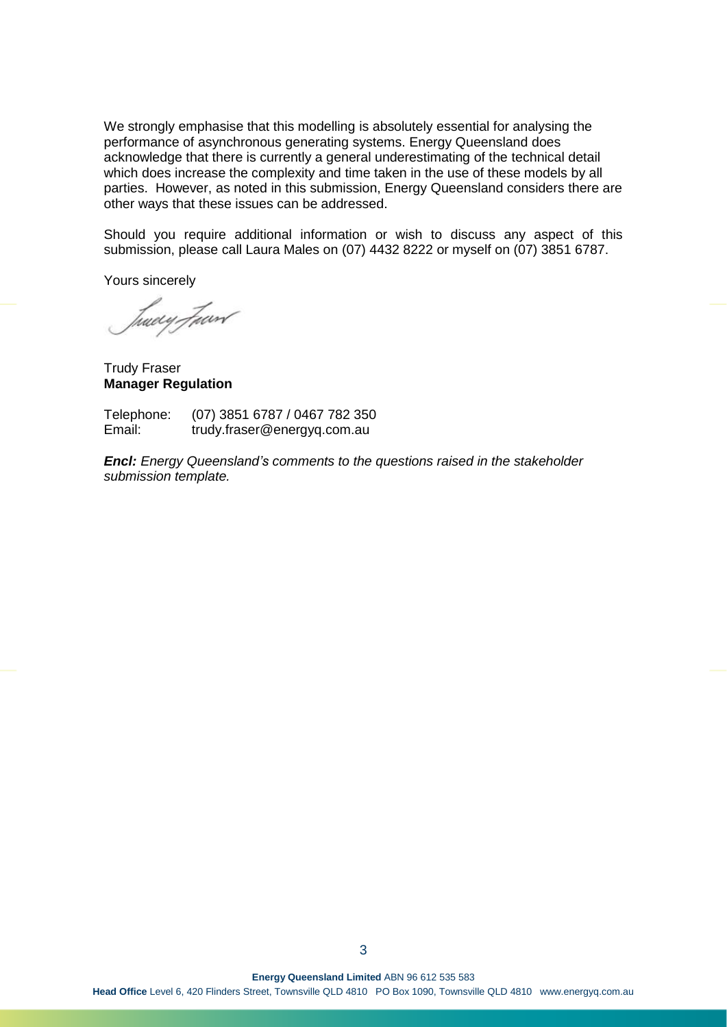We strongly emphasise that this modelling is absolutely essential for analysing the performance of asynchronous generating systems. Energy Queensland does acknowledge that there is currently a general underestimating of the technical detail which does increase the complexity and time taken in the use of these models by all parties. However, as noted in this submission, Energy Queensland considers there are other ways that these issues can be addressed.

Should you require additional information or wish to discuss any aspect of this submission, please call Laura Males on (07) 4432 8222 or myself on (07) 3851 6787.

Yours sincerely

tweey Four

Trudy Fraser **Manager Regulation**

Telephone: (07) 3851 6787 / 0467 782 350<br>Email: trudy.fraser@energyg.com.au [trudy.fraser@energyq.com.au](mailto:trudy.fraser@energyq.com.au)

*Encl: Energy Queensland's comments to the questions raised in the stakeholder submission template.*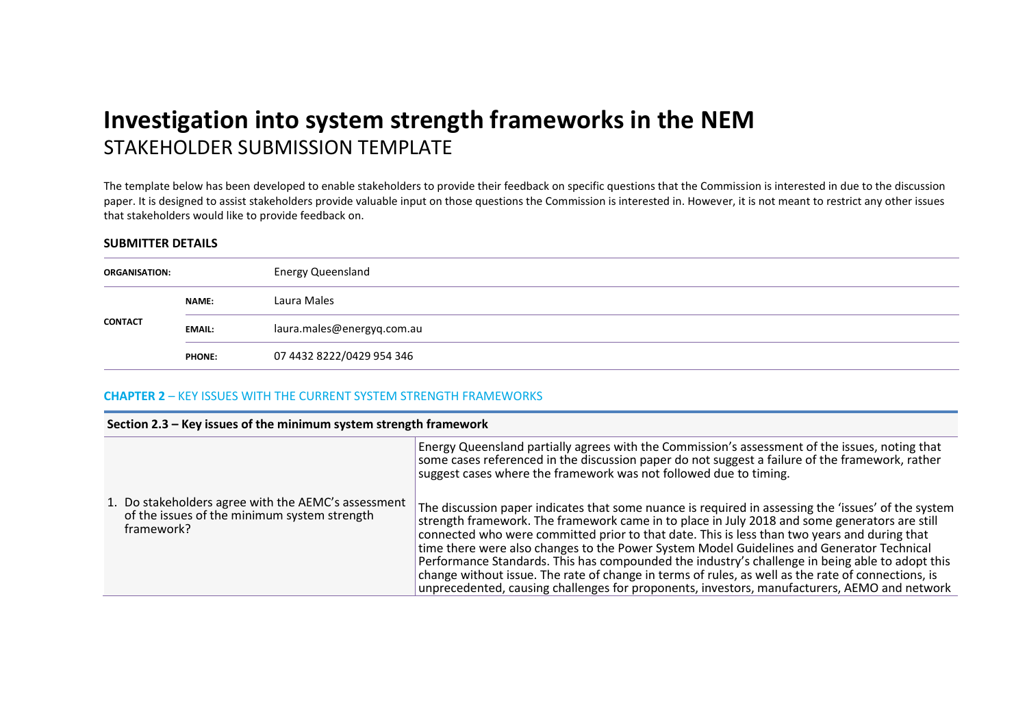# **Investigation into system strength frameworks in the NEM**  STAKEHOLDER SUBMISSION TEMPLATE

The template below has been developed to enable stakeholders to provide their feedback on specific questions that the Commission is interested in due to the discussion paper. It is designed to assist stakeholders provide valuable input on those questions the Commission is interested in. However, it is not meant to restrict any other issues that stakeholders would like to provide feedback on.

#### **SUBMITTER DETAILS**

| <b>ORGANISATION:</b> |               | Energy Queensland          |
|----------------------|---------------|----------------------------|
|                      | <b>NAME:</b>  | Laura Males                |
| <b>CONTACT</b>       | <b>EMAIL:</b> | laura.males@energyq.com.au |
|                      | <b>PHONE:</b> | 07 4432 8222/0429 954 346  |

#### **CHAPTER 2** – KEY ISSUES WITH THE CURRENT SYSTEM STRENGTH FRAMEWORKS

#### **Section 2.3 – Key issues of the minimum system strength framework**

|                                                                                                                   | Energy Queensland partially agrees with the Commission's assessment of the issues, noting that<br>some cases referenced in the discussion paper do not suggest a failure of the framework, rather<br>suggest cases where the framework was not followed due to timing.                                                                                                                                                                                                                                                                                                                                                                                                                                     |
|-------------------------------------------------------------------------------------------------------------------|------------------------------------------------------------------------------------------------------------------------------------------------------------------------------------------------------------------------------------------------------------------------------------------------------------------------------------------------------------------------------------------------------------------------------------------------------------------------------------------------------------------------------------------------------------------------------------------------------------------------------------------------------------------------------------------------------------|
| 1. Do stakeholders agree with the AEMC's assessment<br>of the issues of the minimum system strength<br>framework? | The discussion paper indicates that some nuance is required in assessing the 'issues' of the system<br>strength framework. The framework came in to place in July 2018 and some generators are still<br>connected who were committed prior to that date. This is less than two years and during that<br>time there were also changes to the Power System Model Guidelines and Generator Technical<br>Performance Standards. This has compounded the industry's challenge in being able to adopt this<br>change without issue. The rate of change in terms of rules, as well as the rate of connections, is<br>unprecedented, causing challenges for proponents, investors, manufacturers, AEMO and network |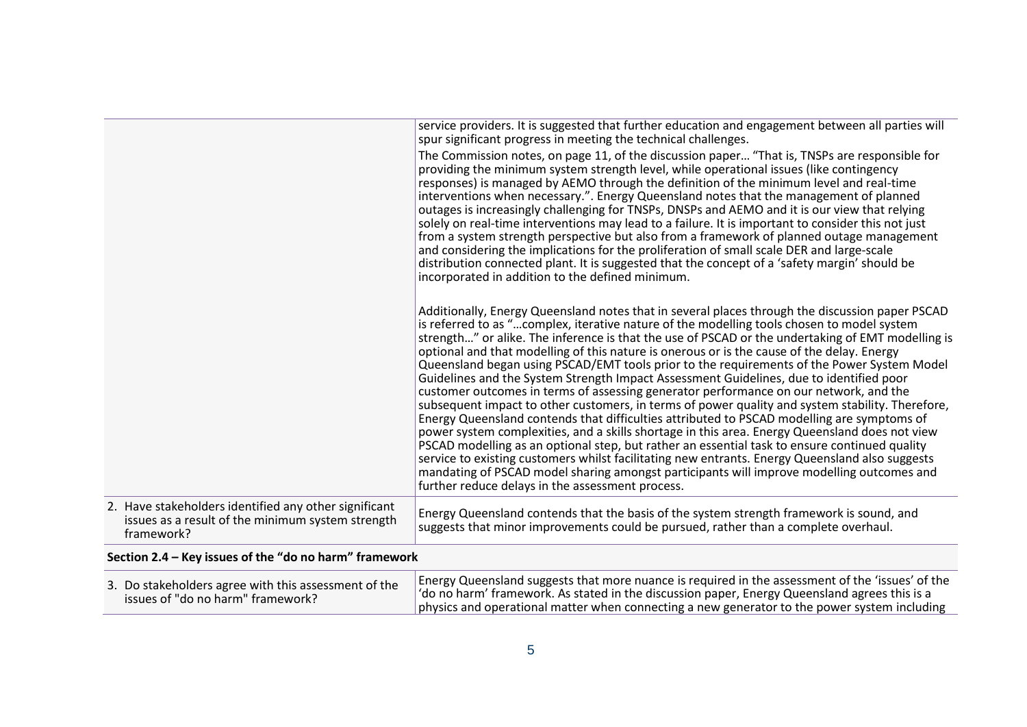|                                                                                                                          | service providers. It is suggested that further education and engagement between all parties will<br>spur significant progress in meeting the technical challenges.                                                                                                                                                                                                                                                                                                                                                                                                                                                                                                                                                                                                                                                                                                                                                                                                                                                                                                                                                                                                                                                                                                                                                                         |
|--------------------------------------------------------------------------------------------------------------------------|---------------------------------------------------------------------------------------------------------------------------------------------------------------------------------------------------------------------------------------------------------------------------------------------------------------------------------------------------------------------------------------------------------------------------------------------------------------------------------------------------------------------------------------------------------------------------------------------------------------------------------------------------------------------------------------------------------------------------------------------------------------------------------------------------------------------------------------------------------------------------------------------------------------------------------------------------------------------------------------------------------------------------------------------------------------------------------------------------------------------------------------------------------------------------------------------------------------------------------------------------------------------------------------------------------------------------------------------|
|                                                                                                                          | The Commission notes, on page 11, of the discussion paper "That is, TNSPs are responsible for<br>providing the minimum system strength level, while operational issues (like contingency<br>responses) is managed by AEMO through the definition of the minimum level and real-time<br>interventions when necessary.". Energy Queensland notes that the management of planned<br>outages is increasingly challenging for TNSPs, DNSPs and AEMO and it is our view that relying<br>solely on real-time interventions may lead to a failure. It is important to consider this not just<br>from a system strength perspective but also from a framework of planned outage management<br>and considering the implications for the proliferation of small scale DER and large-scale<br>distribution connected plant. It is suggested that the concept of a 'safety margin' should be<br>incorporated in addition to the defined minimum.                                                                                                                                                                                                                                                                                                                                                                                                         |
|                                                                                                                          | Additionally, Energy Queensland notes that in several places through the discussion paper PSCAD<br>is referred to as "complex, iterative nature of the modelling tools chosen to model system<br>strength" or alike. The inference is that the use of PSCAD or the undertaking of EMT modelling is<br>optional and that modelling of this nature is onerous or is the cause of the delay. Energy<br>Queensland began using PSCAD/EMT tools prior to the requirements of the Power System Model<br>Guidelines and the System Strength Impact Assessment Guidelines, due to identified poor<br>customer outcomes in terms of assessing generator performance on our network, and the<br>subsequent impact to other customers, in terms of power quality and system stability. Therefore,<br>Energy Queensland contends that difficulties attributed to PSCAD modelling are symptoms of<br>power system complexities, and a skills shortage in this area. Energy Queensland does not view<br>PSCAD modelling as an optional step, but rather an essential task to ensure continued quality<br>service to existing customers whilst facilitating new entrants. Energy Queensland also suggests<br>mandating of PSCAD model sharing amongst participants will improve modelling outcomes and<br>further reduce delays in the assessment process. |
| 2. Have stakeholders identified any other significant<br>issues as a result of the minimum system strength<br>framework? | Energy Queensland contends that the basis of the system strength framework is sound, and<br>suggests that minor improvements could be pursued, rather than a complete overhaul.                                                                                                                                                                                                                                                                                                                                                                                                                                                                                                                                                                                                                                                                                                                                                                                                                                                                                                                                                                                                                                                                                                                                                             |
| Section 2.4 – Key issues of the "do no harm" framework                                                                   |                                                                                                                                                                                                                                                                                                                                                                                                                                                                                                                                                                                                                                                                                                                                                                                                                                                                                                                                                                                                                                                                                                                                                                                                                                                                                                                                             |
| 3. Do stakeholders agree with this assessment of the<br>issues of "do no harm" framework?                                | Energy Queensland suggests that more nuance is required in the assessment of the 'issues' of the<br>'do no harm' framework. As stated in the discussion paper, Energy Queensland agrees this is a<br>physics and operational matter when connecting a new generator to the power system including                                                                                                                                                                                                                                                                                                                                                                                                                                                                                                                                                                                                                                                                                                                                                                                                                                                                                                                                                                                                                                           |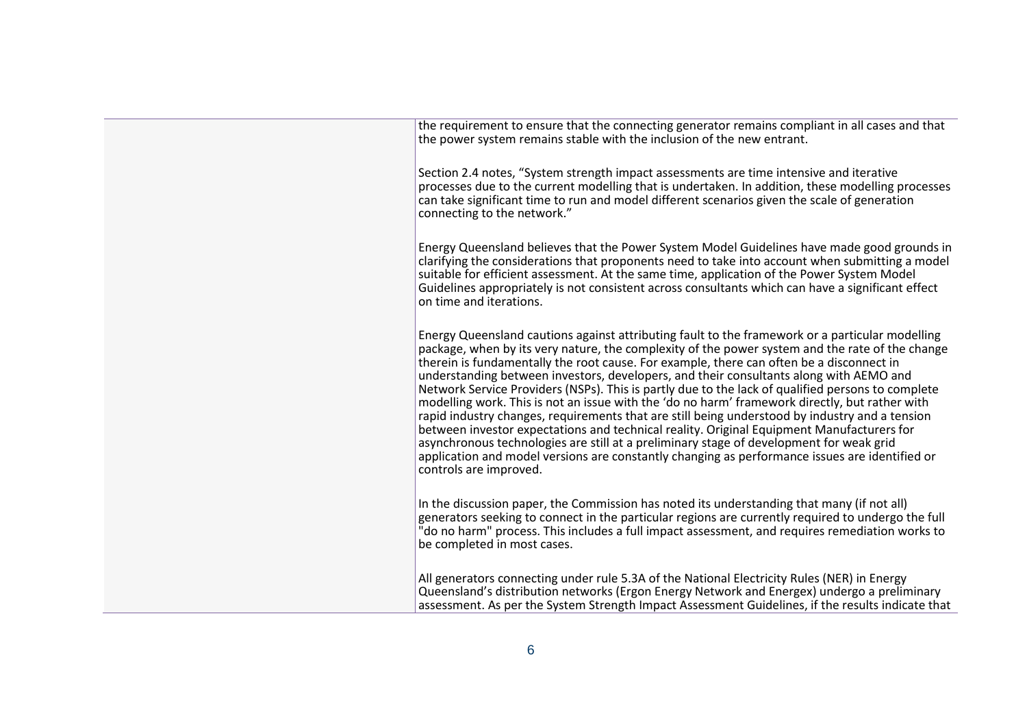the requirement to ensure that the connecting generator remains compliant in all cases and that the power system remains stable with the inclusion of the new entrant.

Section 2.4 notes, "System strength impact assessments are time intensive and iterative processes due to the current modelling that is undertaken. In addition, these modelling processes can take significant time to run and model different scenarios given the scale of generation connecting to the network."

Energy Queensland believes that the Power System Model Guidelines have made good grounds in clarifying the considerations that proponents need to take into account when submitting a model suitable for efficient assessment. At the same time, application of the Power System Model Guidelines appropriately is not consistent across consultants which can have a significant effect on time and iterations.

Energy Queensland cautions against attributing fault to the framework or a particular modelling package, when by its very nature, the complexity of the power system and the rate of the change therein is fundamentally the root cause. For example, there can often be a disconnect in understanding between investors, developers, and their consultants along with AEMO and Network Service Providers (NSPs). This is partly due to the lack of qualified persons to complete modelling work. This is not an issue with the 'do no harm' framework directly, but rather with rapid industry changes, requirements that are still being understood by industry and a tension between investor expectations and technical reality. Original Equipment Manufacturersfor asynchronous technologies are still at a preliminary stage of development for weak grid application and model versions are constantly changing as performance issues are identified or controls are improved.

In the discussion paper, the Commission has noted its understanding that many (if not all) generators seeking to connect in the particular regions are currently required to undergo the full "do no harm" process. This includes a full impact assessment, and requires remediation works to be completed in most cases.

All generators connecting under rule 5.3A of the National Electricity Rules (NER) in Energy Queensland's distribution networks (Ergon Energy Network and Energex) undergo a preliminary assessment. As per the System Strength Impact Assessment Guidelines, if the results indicate that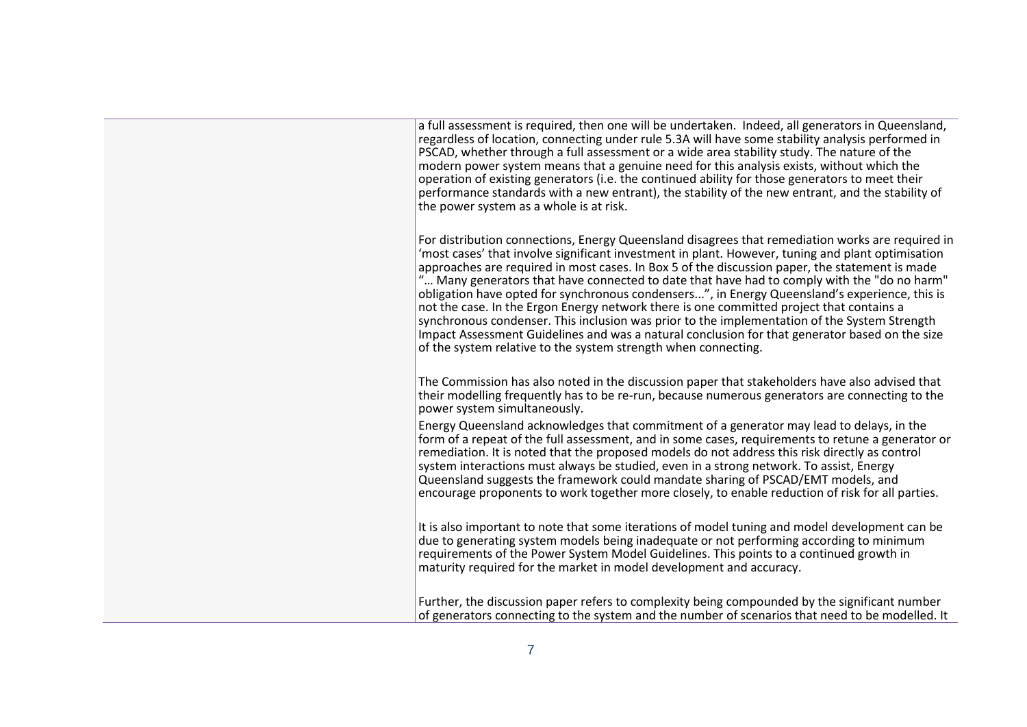a full assessment is required, then one will be undertaken. Indeed, all generators in Queensland, regardless of location, connecting under rule 5.3A will have some stability analysis performed in PSCAD, whether through a full assessment or a wide area stability study. The nature of the modern power system means that a genuine need for this analysis exists, without which the operation of existing generators (i.e. the continued ability for those generators to meet their performance standards with a new entrant), the stability of the new entrant, and the stability of the power system as a whole is at risk.

For distribution connections, Energy Queensland disagrees that remediation works are required in 'most cases' that involve significant investment in plant. However, tuning and plant optimisation approaches are required in most cases. In Box 5 of the discussion paper, the statement is made "… Many generators that have connected to date that have had to comply with the "do no harm" obligation have opted for synchronous condensers...", in Energy Queensland's experience, this is not the case. In the Ergon Energy network there is one committed project that contains a synchronous condenser. This inclusion was prior to the implementation of the System Strength Impact Assessment Guidelines and was a natural conclusion for that generator based on the size of the system relative to the system strength when connecting.

The Commission has also noted in the discussion paper that stakeholders have also advised that their modelling frequently has to be re-run, because numerous generators are connecting to the power system simultaneously.

Energy Queensland acknowledges that commitment of a generator may lead to delays, in the form of a repeat of the full assessment, and in some cases, requirements to retune a generator or remediation. It is noted that the proposed models do not address this risk directly as control system interactions must always be studied, even in a strong network. To assist, Energy Queensland suggests the framework could mandate sharing of PSCAD/EMT models, and encourage proponents to work together more closely, to enable reduction of risk for all parties.

It is also important to note that some iterations of model tuning and model development can be due to generating system models being inadequate or not performing according to minimum requirements of the Power System Model Guidelines. This points to a continued growth in maturity required for the market in model development and accuracy.

Further, the discussion paper refers to complexity being compounded by the significant number of generators connecting to the system and the number of scenarios that need to be modelled. It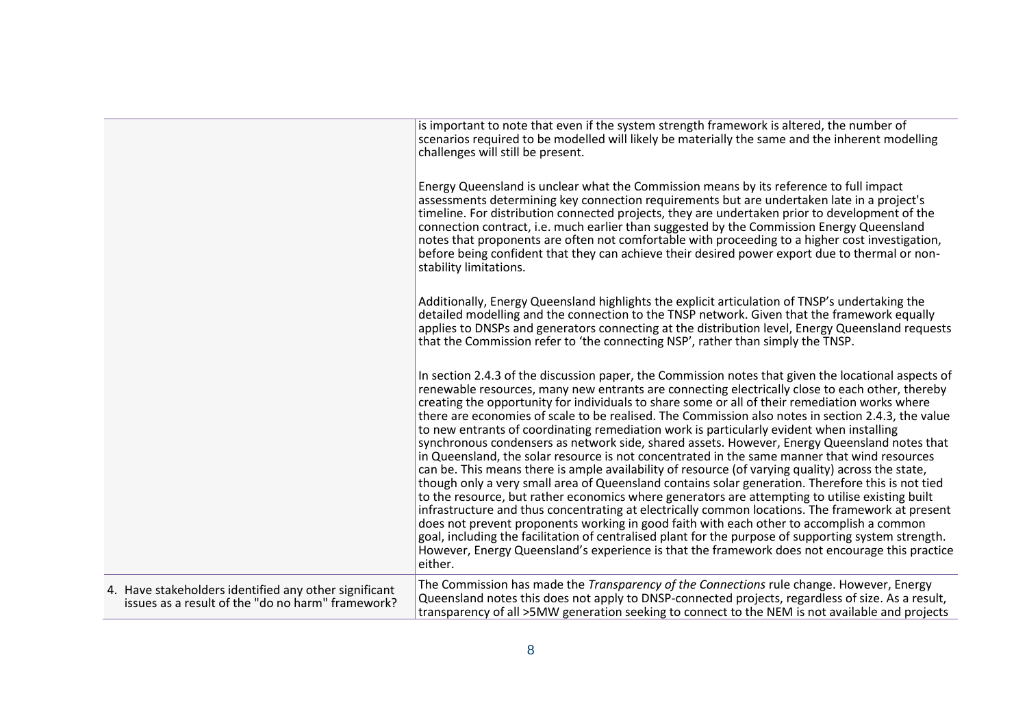|                                                                                                            | is important to note that even if the system strength framework is altered, the number of<br>scenarios required to be modelled will likely be materially the same and the inherent modelling<br>challenges will still be present.                                                                                                                                                                                                                                                                                                                                                                                                                                                                                                                                                                                                                                                                                                                                                                                                                                                                                                                                                                                                                                                                                                                                                                                                            |
|------------------------------------------------------------------------------------------------------------|----------------------------------------------------------------------------------------------------------------------------------------------------------------------------------------------------------------------------------------------------------------------------------------------------------------------------------------------------------------------------------------------------------------------------------------------------------------------------------------------------------------------------------------------------------------------------------------------------------------------------------------------------------------------------------------------------------------------------------------------------------------------------------------------------------------------------------------------------------------------------------------------------------------------------------------------------------------------------------------------------------------------------------------------------------------------------------------------------------------------------------------------------------------------------------------------------------------------------------------------------------------------------------------------------------------------------------------------------------------------------------------------------------------------------------------------|
|                                                                                                            | Energy Queensland is unclear what the Commission means by its reference to full impact<br>assessments determining key connection requirements but are undertaken late in a project's<br>timeline. For distribution connected projects, they are undertaken prior to development of the<br>connection contract, i.e. much earlier than suggested by the Commission Energy Queensland<br>notes that proponents are often not comfortable with proceeding to a higher cost investigation,<br>before being confident that they can achieve their desired power export due to thermal or non-<br>stability limitations.                                                                                                                                                                                                                                                                                                                                                                                                                                                                                                                                                                                                                                                                                                                                                                                                                           |
|                                                                                                            | Additionally, Energy Queensland highlights the explicit articulation of TNSP's undertaking the<br>detailed modelling and the connection to the TNSP network. Given that the framework equally<br>applies to DNSPs and generators connecting at the distribution level, Energy Queensland requests<br>that the Commission refer to 'the connecting NSP', rather than simply the TNSP.                                                                                                                                                                                                                                                                                                                                                                                                                                                                                                                                                                                                                                                                                                                                                                                                                                                                                                                                                                                                                                                         |
|                                                                                                            | In section 2.4.3 of the discussion paper, the Commission notes that given the locational aspects of<br>renewable resources, many new entrants are connecting electrically close to each other, thereby<br>creating the opportunity for individuals to share some or all of their remediation works where<br>there are economies of scale to be realised. The Commission also notes in section 2.4.3, the value<br>to new entrants of coordinating remediation work is particularly evident when installing<br>synchronous condensers as network side, shared assets. However, Energy Queensland notes that<br>in Queensland, the solar resource is not concentrated in the same manner that wind resources<br>can be. This means there is ample availability of resource (of varying quality) across the state,<br>though only a very small area of Queensland contains solar generation. Therefore this is not tied<br>to the resource, but rather economics where generators are attempting to utilise existing built<br>infrastructure and thus concentrating at electrically common locations. The framework at present<br>does not prevent proponents working in good faith with each other to accomplish a common<br>goal, including the facilitation of centralised plant for the purpose of supporting system strength.<br>However, Energy Queensland's experience is that the framework does not encourage this practice<br>either. |
| 4. Have stakeholders identified any other significant<br>issues as a result of the "do no harm" framework? | The Commission has made the Transparency of the Connections rule change. However, Energy<br>Queensland notes this does not apply to DNSP-connected projects, regardless of size. As a result,<br>transparency of all >5MW generation seeking to connect to the NEM is not available and projects                                                                                                                                                                                                                                                                                                                                                                                                                                                                                                                                                                                                                                                                                                                                                                                                                                                                                                                                                                                                                                                                                                                                             |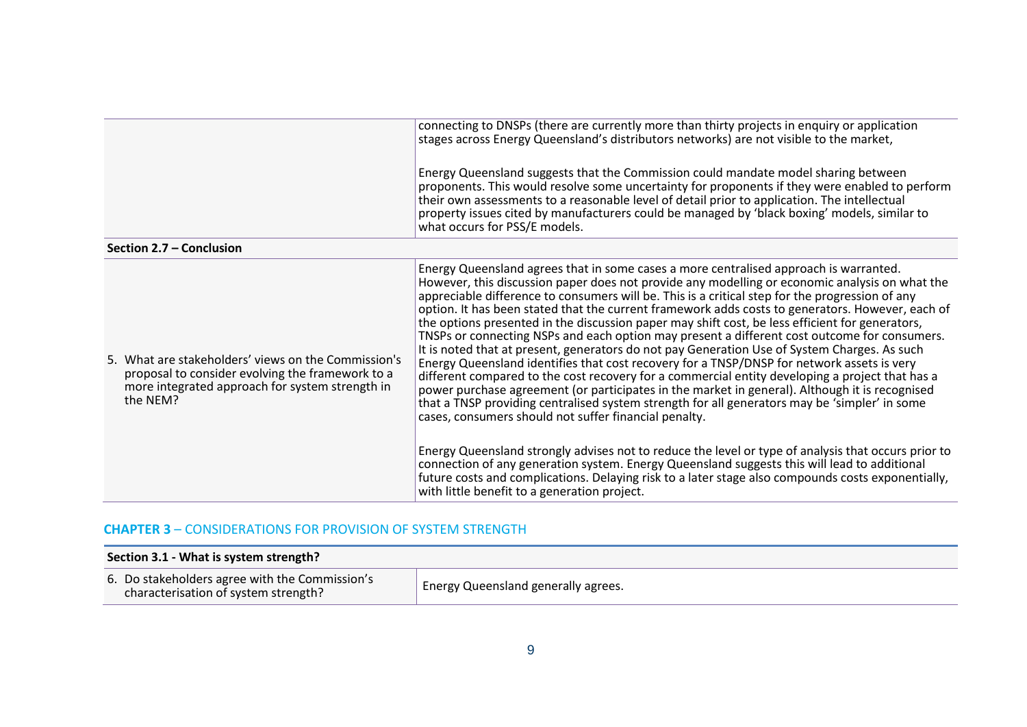|                                                                                                                                                                        | connecting to DNSPs (there are currently more than thirty projects in enquiry or application<br>stages across Energy Queensland's distributors networks) are not visible to the market,<br>Energy Queensland suggests that the Commission could mandate model sharing between<br>proponents. This would resolve some uncertainty for proponents if they were enabled to perform<br>their own assessments to a reasonable level of detail prior to application. The intellectual<br>property issues cited by manufacturers could be managed by 'black boxing' models, similar to<br>what occurs for PSS/E models.                                                                                                                                                                                                                                                                                                                                                                                                                                                                                                                                                                                                                                                                                                                                                                                                                                                                                                            |
|------------------------------------------------------------------------------------------------------------------------------------------------------------------------|-----------------------------------------------------------------------------------------------------------------------------------------------------------------------------------------------------------------------------------------------------------------------------------------------------------------------------------------------------------------------------------------------------------------------------------------------------------------------------------------------------------------------------------------------------------------------------------------------------------------------------------------------------------------------------------------------------------------------------------------------------------------------------------------------------------------------------------------------------------------------------------------------------------------------------------------------------------------------------------------------------------------------------------------------------------------------------------------------------------------------------------------------------------------------------------------------------------------------------------------------------------------------------------------------------------------------------------------------------------------------------------------------------------------------------------------------------------------------------------------------------------------------------|
| Section 2.7 – Conclusion                                                                                                                                               |                                                                                                                                                                                                                                                                                                                                                                                                                                                                                                                                                                                                                                                                                                                                                                                                                                                                                                                                                                                                                                                                                                                                                                                                                                                                                                                                                                                                                                                                                                                             |
| 5. What are stakeholders' views on the Commission's<br>proposal to consider evolving the framework to a<br>more integrated approach for system strength in<br>the NEM? | Energy Queensland agrees that in some cases a more centralised approach is warranted.<br>However, this discussion paper does not provide any modelling or economic analysis on what the<br>appreciable difference to consumers will be. This is a critical step for the progression of any<br>option. It has been stated that the current framework adds costs to generators. However, each of<br>the options presented in the discussion paper may shift cost, be less efficient for generators,<br>TNSPs or connecting NSPs and each option may present a different cost outcome for consumers.<br>It is noted that at present, generators do not pay Generation Use of System Charges. As such<br>Energy Queensland identifies that cost recovery for a TNSP/DNSP for network assets is very<br>different compared to the cost recovery for a commercial entity developing a project that has a<br>power purchase agreement (or participates in the market in general). Although it is recognised<br>that a TNSP providing centralised system strength for all generators may be 'simpler' in some<br>cases, consumers should not suffer financial penalty.<br>Energy Queensland strongly advises not to reduce the level or type of analysis that occurs prior to<br>connection of any generation system. Energy Queensland suggests this will lead to additional<br>future costs and complications. Delaying risk to a later stage also compounds costs exponentially,<br>with little benefit to a generation project. |

# **CHAPTER 3** – CONSIDERATIONS FOR PROVISION OF SYSTEM STRENGTH

| Section 3.1 - What is system strength?                                                 |                                            |  |
|----------------------------------------------------------------------------------------|--------------------------------------------|--|
| 6. Do stakeholders agree with the Commission's<br>characterisation of system strength? | <b>Energy Queensland generally agrees.</b> |  |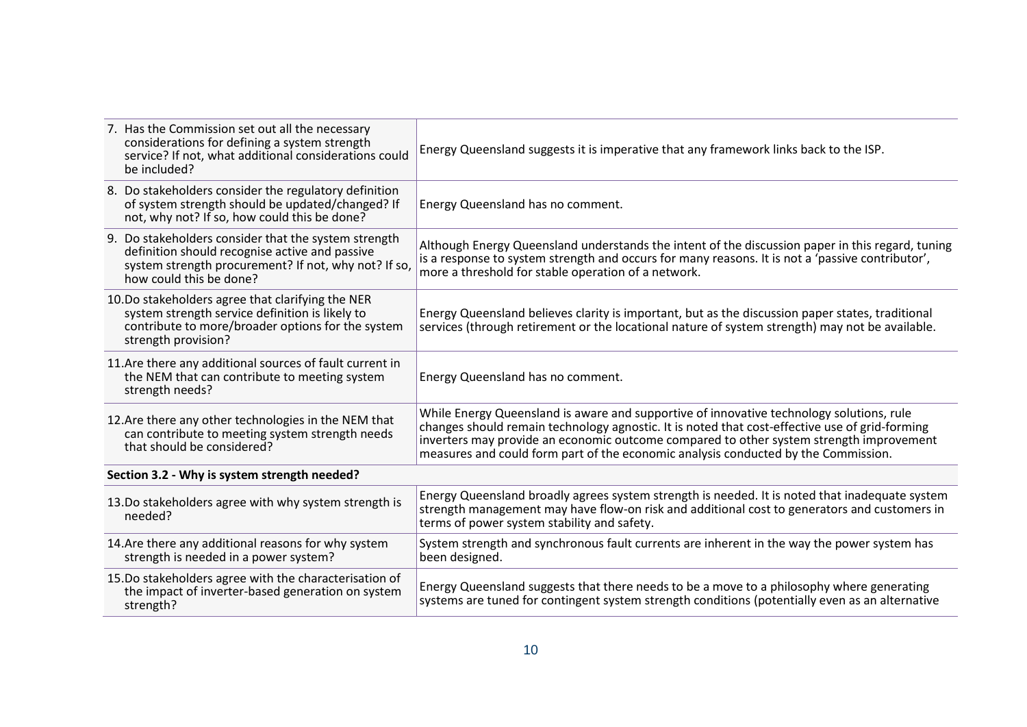| 7. Has the Commission set out all the necessary<br>considerations for defining a system strength<br>service? If not, what additional considerations could<br>be included?                 | Energy Queensland suggests it is imperative that any framework links back to the ISP.                                                                                                                                                                                                                                                                                       |  |
|-------------------------------------------------------------------------------------------------------------------------------------------------------------------------------------------|-----------------------------------------------------------------------------------------------------------------------------------------------------------------------------------------------------------------------------------------------------------------------------------------------------------------------------------------------------------------------------|--|
| 8. Do stakeholders consider the regulatory definition<br>of system strength should be updated/changed? If<br>not, why not? If so, how could this be done?                                 | Energy Queensland has no comment.                                                                                                                                                                                                                                                                                                                                           |  |
| 9. Do stakeholders consider that the system strength<br>definition should recognise active and passive<br>system strength procurement? If not, why not? If so,<br>how could this be done? | Although Energy Queensland understands the intent of the discussion paper in this regard, tuning<br>is a response to system strength and occurs for many reasons. It is not a 'passive contributor',<br>more a threshold for stable operation of a network.                                                                                                                 |  |
| 10. Do stakeholders agree that clarifying the NER<br>system strength service definition is likely to<br>contribute to more/broader options for the system<br>strength provision?          | Energy Queensland believes clarity is important, but as the discussion paper states, traditional<br>services (through retirement or the locational nature of system strength) may not be available.                                                                                                                                                                         |  |
| 11. Are there any additional sources of fault current in<br>the NEM that can contribute to meeting system<br>strength needs?                                                              | Energy Queensland has no comment.                                                                                                                                                                                                                                                                                                                                           |  |
| 12. Are there any other technologies in the NEM that<br>can contribute to meeting system strength needs<br>that should be considered?                                                     | While Energy Queensland is aware and supportive of innovative technology solutions, rule<br>changes should remain technology agnostic. It is noted that cost-effective use of grid-forming<br>inverters may provide an economic outcome compared to other system strength improvement<br>measures and could form part of the economic analysis conducted by the Commission. |  |
| Section 3.2 - Why is system strength needed?                                                                                                                                              |                                                                                                                                                                                                                                                                                                                                                                             |  |
| 13. Do stakeholders agree with why system strength is<br>needed?                                                                                                                          | Energy Queensland broadly agrees system strength is needed. It is noted that inadequate system<br>strength management may have flow-on risk and additional cost to generators and customers in<br>terms of power system stability and safety.                                                                                                                               |  |
| 14. Are there any additional reasons for why system<br>strength is needed in a power system?                                                                                              | System strength and synchronous fault currents are inherent in the way the power system has<br>been designed.                                                                                                                                                                                                                                                               |  |
| 15. Do stakeholders agree with the characterisation of<br>the impact of inverter-based generation on system<br>strength?                                                                  | Energy Queensland suggests that there needs to be a move to a philosophy where generating<br>systems are tuned for contingent system strength conditions (potentially even as an alternative                                                                                                                                                                                |  |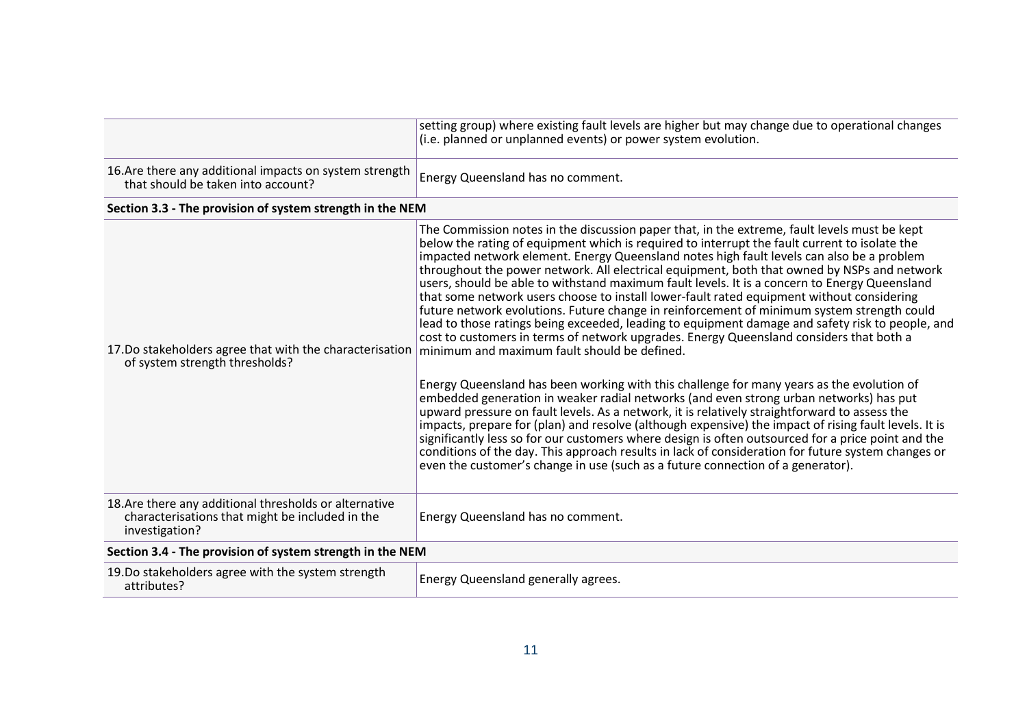|                                                                                                                             | setting group) where existing fault levels are higher but may change due to operational changes<br>(i.e. planned or unplanned events) or power system evolution.                                                                                                                                                                                                                                                                                                                                                                                                                                                                                                                                                                                                                                                                                                                                                                                                                                                                                                                                                                                                                                                                                                                                                                                                                                                                                                                                                                                                                                                                     |
|-----------------------------------------------------------------------------------------------------------------------------|--------------------------------------------------------------------------------------------------------------------------------------------------------------------------------------------------------------------------------------------------------------------------------------------------------------------------------------------------------------------------------------------------------------------------------------------------------------------------------------------------------------------------------------------------------------------------------------------------------------------------------------------------------------------------------------------------------------------------------------------------------------------------------------------------------------------------------------------------------------------------------------------------------------------------------------------------------------------------------------------------------------------------------------------------------------------------------------------------------------------------------------------------------------------------------------------------------------------------------------------------------------------------------------------------------------------------------------------------------------------------------------------------------------------------------------------------------------------------------------------------------------------------------------------------------------------------------------------------------------------------------------|
| 16. Are there any additional impacts on system strength<br>that should be taken into account?                               | Energy Queensland has no comment.                                                                                                                                                                                                                                                                                                                                                                                                                                                                                                                                                                                                                                                                                                                                                                                                                                                                                                                                                                                                                                                                                                                                                                                                                                                                                                                                                                                                                                                                                                                                                                                                    |
| Section 3.3 - The provision of system strength in the NEM                                                                   |                                                                                                                                                                                                                                                                                                                                                                                                                                                                                                                                                                                                                                                                                                                                                                                                                                                                                                                                                                                                                                                                                                                                                                                                                                                                                                                                                                                                                                                                                                                                                                                                                                      |
| 17. Do stakeholders agree that with the characterisation<br>of system strength thresholds?                                  | The Commission notes in the discussion paper that, in the extreme, fault levels must be kept<br>below the rating of equipment which is required to interrupt the fault current to isolate the<br>impacted network element. Energy Queensland notes high fault levels can also be a problem<br>throughout the power network. All electrical equipment, both that owned by NSPs and network<br>users, should be able to withstand maximum fault levels. It is a concern to Energy Queensland<br>that some network users choose to install lower-fault rated equipment without considering<br>future network evolutions. Future change in reinforcement of minimum system strength could<br>lead to those ratings being exceeded, leading to equipment damage and safety risk to people, and<br>cost to customers in terms of network upgrades. Energy Queensland considers that both a<br>minimum and maximum fault should be defined.<br>Energy Queensland has been working with this challenge for many years as the evolution of<br>embedded generation in weaker radial networks (and even strong urban networks) has put<br>upward pressure on fault levels. As a network, it is relatively straightforward to assess the<br>impacts, prepare for (plan) and resolve (although expensive) the impact of rising fault levels. It is<br>significantly less so for our customers where design is often outsourced for a price point and the<br>conditions of the day. This approach results in lack of consideration for future system changes or<br>even the customer's change in use (such as a future connection of a generator). |
| 18. Are there any additional thresholds or alternative<br>characterisations that might be included in the<br>investigation? | Energy Queensland has no comment.                                                                                                                                                                                                                                                                                                                                                                                                                                                                                                                                                                                                                                                                                                                                                                                                                                                                                                                                                                                                                                                                                                                                                                                                                                                                                                                                                                                                                                                                                                                                                                                                    |
| Section 3.4 - The provision of system strength in the NEM                                                                   |                                                                                                                                                                                                                                                                                                                                                                                                                                                                                                                                                                                                                                                                                                                                                                                                                                                                                                                                                                                                                                                                                                                                                                                                                                                                                                                                                                                                                                                                                                                                                                                                                                      |
| 19. Do stakeholders agree with the system strength<br>attributes?                                                           | Energy Queensland generally agrees.                                                                                                                                                                                                                                                                                                                                                                                                                                                                                                                                                                                                                                                                                                                                                                                                                                                                                                                                                                                                                                                                                                                                                                                                                                                                                                                                                                                                                                                                                                                                                                                                  |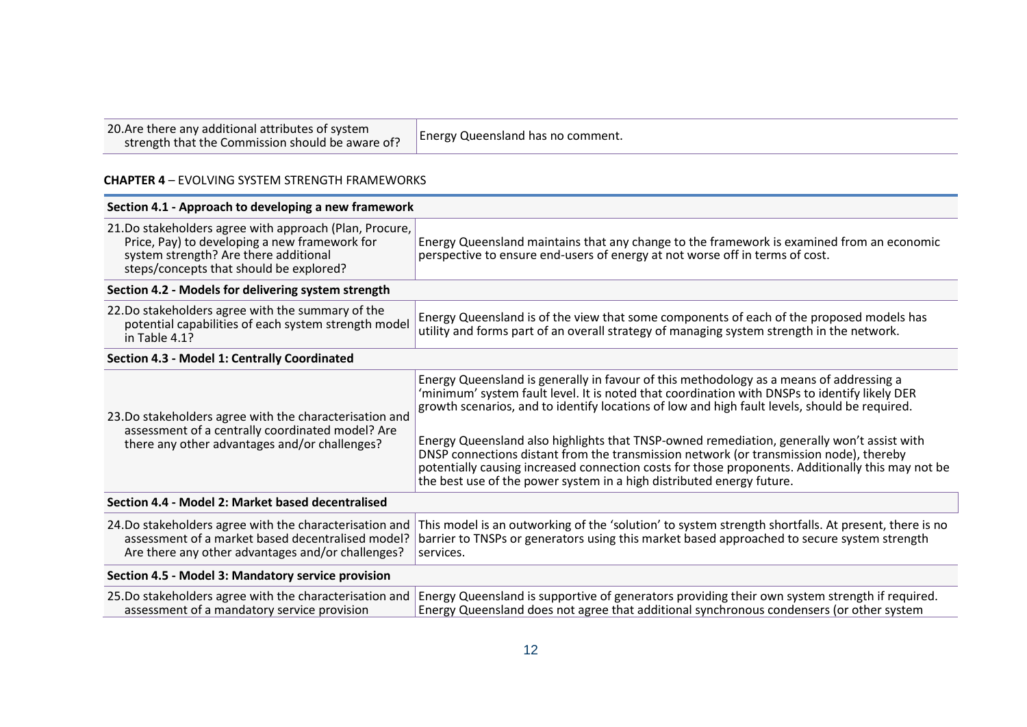| 20. Are there any additional attributes of system<br>strength that the Commission should be aware of? | <b>Energy Queensland has no comment.</b> |
|-------------------------------------------------------------------------------------------------------|------------------------------------------|

### **CHAPTER 4** – EVOLVING SYSTEM STRENGTH FRAMEWORKS

| Section 4.1 - Approach to developing a new framework                                                                                                                                         |                                                                                                                                                                                                                                                                                                                                                                                                                                                                                                                                                                                                                                                                 |  |
|----------------------------------------------------------------------------------------------------------------------------------------------------------------------------------------------|-----------------------------------------------------------------------------------------------------------------------------------------------------------------------------------------------------------------------------------------------------------------------------------------------------------------------------------------------------------------------------------------------------------------------------------------------------------------------------------------------------------------------------------------------------------------------------------------------------------------------------------------------------------------|--|
| 21. Do stakeholders agree with approach (Plan, Procure,<br>Price, Pay) to developing a new framework for<br>system strength? Are there additional<br>steps/concepts that should be explored? | Energy Queensland maintains that any change to the framework is examined from an economic<br>perspective to ensure end-users of energy at not worse off in terms of cost.                                                                                                                                                                                                                                                                                                                                                                                                                                                                                       |  |
| Section 4.2 - Models for delivering system strength                                                                                                                                          |                                                                                                                                                                                                                                                                                                                                                                                                                                                                                                                                                                                                                                                                 |  |
| 22. Do stakeholders agree with the summary of the<br>potential capabilities of each system strength model<br>in Table 4.1?                                                                   | Energy Queensland is of the view that some components of each of the proposed models has<br>utility and forms part of an overall strategy of managing system strength in the network.                                                                                                                                                                                                                                                                                                                                                                                                                                                                           |  |
| Section 4.3 - Model 1: Centrally Coordinated                                                                                                                                                 |                                                                                                                                                                                                                                                                                                                                                                                                                                                                                                                                                                                                                                                                 |  |
| 23.Do stakeholders agree with the characterisation and<br>assessment of a centrally coordinated model? Are<br>there any other advantages and/or challenges?                                  | Energy Queensland is generally in favour of this methodology as a means of addressing a<br>'minimum' system fault level. It is noted that coordination with DNSPs to identify likely DER<br>growth scenarios, and to identify locations of low and high fault levels, should be required.<br>Energy Queensland also highlights that TNSP-owned remediation, generally won't assist with<br>DNSP connections distant from the transmission network (or transmission node), thereby<br>potentially causing increased connection costs for those proponents. Additionally this may not be<br>the best use of the power system in a high distributed energy future. |  |
| Section 4.4 - Model 2: Market based decentralised                                                                                                                                            |                                                                                                                                                                                                                                                                                                                                                                                                                                                                                                                                                                                                                                                                 |  |
| 24. Do stakeholders agree with the characterisation and<br>assessment of a market based decentralised model?<br>Are there any other advantages and/or challenges?                            | This model is an outworking of the 'solution' to system strength shortfalls. At present, there is no<br>barrier to TNSPs or generators using this market based approached to secure system strength<br>services.                                                                                                                                                                                                                                                                                                                                                                                                                                                |  |
| Section 4.5 - Model 3: Mandatory service provision                                                                                                                                           |                                                                                                                                                                                                                                                                                                                                                                                                                                                                                                                                                                                                                                                                 |  |
| 25. Do stakeholders agree with the characterisation and<br>assessment of a mandatory service provision                                                                                       | Energy Queensland is supportive of generators providing their own system strength if required.<br>Energy Queensland does not agree that additional synchronous condensers (or other system                                                                                                                                                                                                                                                                                                                                                                                                                                                                      |  |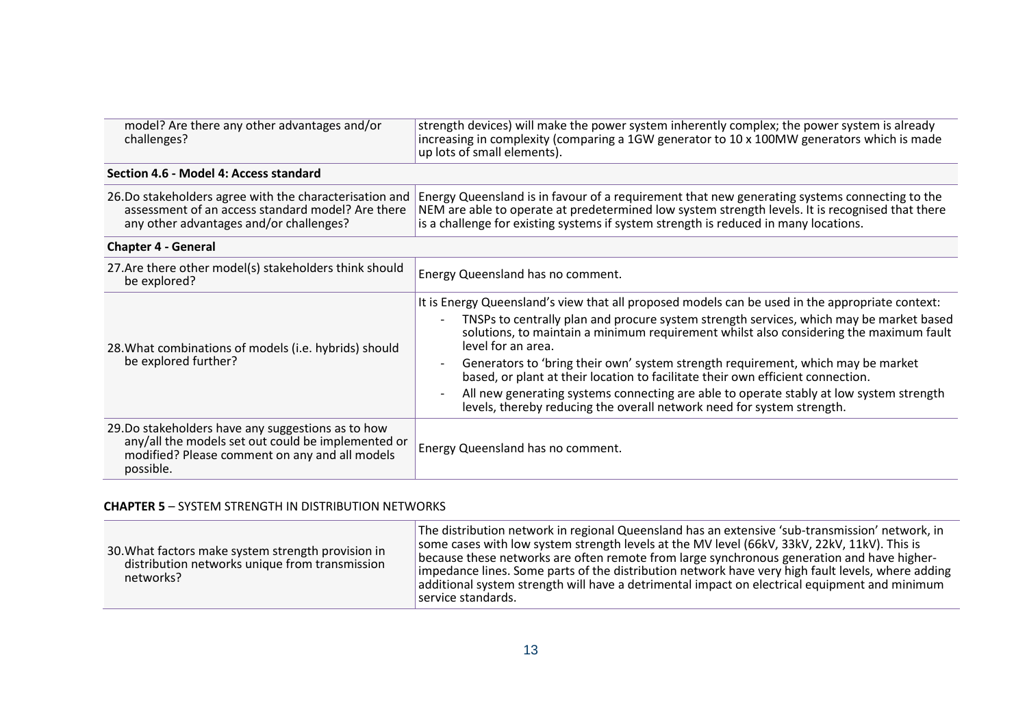| model? Are there any other advantages and/or<br>challenges?                                                                                                             | strength devices) will make the power system inherently complex; the power system is already<br>increasing in complexity (comparing a 1GW generator to 10 x 100MW generators which is made<br>up lots of small elements).                                                                 |  |
|-------------------------------------------------------------------------------------------------------------------------------------------------------------------------|-------------------------------------------------------------------------------------------------------------------------------------------------------------------------------------------------------------------------------------------------------------------------------------------|--|
| Section 4.6 - Model 4: Access standard                                                                                                                                  |                                                                                                                                                                                                                                                                                           |  |
| 26. Do stakeholders agree with the characterisation and<br>assessment of an access standard model? Are there<br>any other advantages and/or challenges?                 | Energy Queensland is in favour of a requirement that new generating systems connecting to the<br>NEM are able to operate at predetermined low system strength levels. It is recognised that there<br>is a challenge for existing systems if system strength is reduced in many locations. |  |
| <b>Chapter 4 - General</b>                                                                                                                                              |                                                                                                                                                                                                                                                                                           |  |
| 27. Are there other model(s) stakeholders think should<br>be explored?                                                                                                  | Energy Queensland has no comment.                                                                                                                                                                                                                                                         |  |
|                                                                                                                                                                         | It is Energy Queensland's view that all proposed models can be used in the appropriate context:                                                                                                                                                                                           |  |
| 28. What combinations of models (i.e. hybrids) should                                                                                                                   | TNSPs to centrally plan and procure system strength services, which may be market based<br>$\overline{\phantom{0}}$<br>solutions, to maintain a minimum requirement whilst also considering the maximum fault<br>level for an area.                                                       |  |
| be explored further?                                                                                                                                                    | Generators to 'bring their own' system strength requirement, which may be market<br>based, or plant at their location to facilitate their own efficient connection.                                                                                                                       |  |
|                                                                                                                                                                         | All new generating systems connecting are able to operate stably at low system strength<br>levels, thereby reducing the overall network need for system strength.                                                                                                                         |  |
| 29. Do stakeholders have any suggestions as to how<br>any/all the models set out could be implemented or<br>modified? Please comment on any and all models<br>possible. | Energy Queensland has no comment.                                                                                                                                                                                                                                                         |  |

# **CHAPTER 5** – SYSTEM STRENGTH IN DISTRIBUTION NETWORKS

| 30. What factors make system strength provision in<br>distribution networks unique from transmission<br>networks? | The distribution network in regional Queensland has an extensive 'sub-transmission' network, in<br>some cases with low system strength levels at the MV level (66kV, 33kV, 22kV, 11kV). This is<br>because these networks are often remote from large synchronous generation and have higher-<br>impedance lines. Some parts of the distribution network have very high fault levels, where adding<br>additional system strength will have a detrimental impact on electrical equipment and minimum<br>service standards. |
|-------------------------------------------------------------------------------------------------------------------|---------------------------------------------------------------------------------------------------------------------------------------------------------------------------------------------------------------------------------------------------------------------------------------------------------------------------------------------------------------------------------------------------------------------------------------------------------------------------------------------------------------------------|
|-------------------------------------------------------------------------------------------------------------------|---------------------------------------------------------------------------------------------------------------------------------------------------------------------------------------------------------------------------------------------------------------------------------------------------------------------------------------------------------------------------------------------------------------------------------------------------------------------------------------------------------------------------|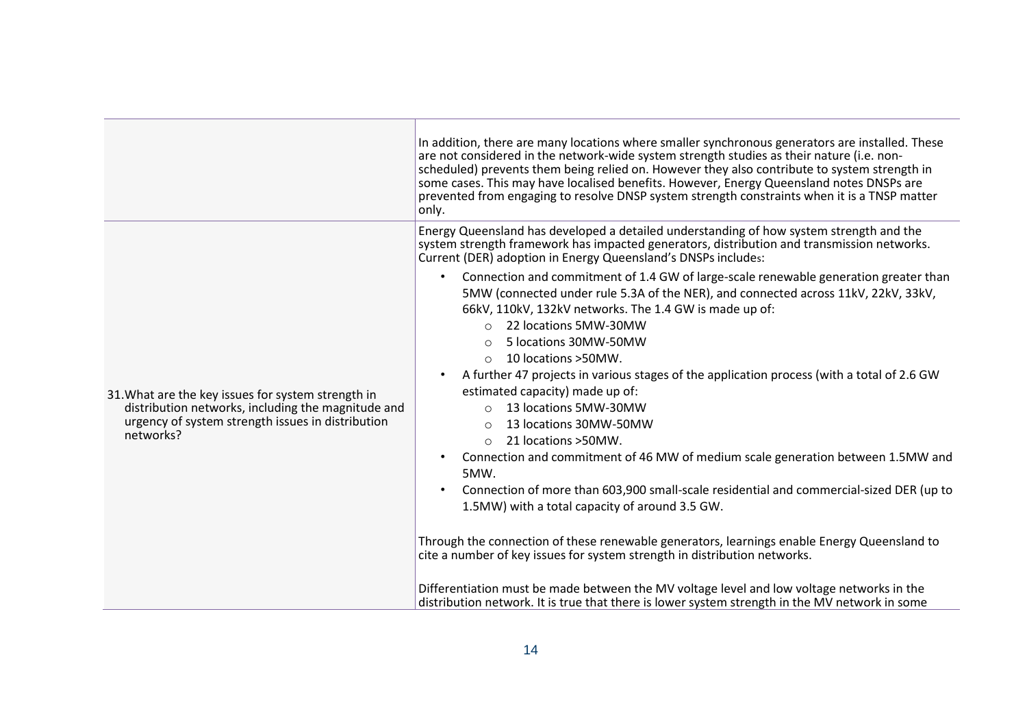|                                                                                                                                                                            | In addition, there are many locations where smaller synchronous generators are installed. These<br>are not considered in the network-wide system strength studies as their nature (i.e. non-<br>scheduled) prevents them being relied on. However they also contribute to system strength in<br>some cases. This may have localised benefits. However, Energy Queensland notes DNSPs are<br>prevented from engaging to resolve DNSP system strength constraints when it is a TNSP matter<br>only.                                                                                                                                                                                                                                                                                                                                                                                                                                                                                                                                                                                                                                                                                             |
|----------------------------------------------------------------------------------------------------------------------------------------------------------------------------|-----------------------------------------------------------------------------------------------------------------------------------------------------------------------------------------------------------------------------------------------------------------------------------------------------------------------------------------------------------------------------------------------------------------------------------------------------------------------------------------------------------------------------------------------------------------------------------------------------------------------------------------------------------------------------------------------------------------------------------------------------------------------------------------------------------------------------------------------------------------------------------------------------------------------------------------------------------------------------------------------------------------------------------------------------------------------------------------------------------------------------------------------------------------------------------------------|
|                                                                                                                                                                            | Energy Queensland has developed a detailed understanding of how system strength and the<br>system strength framework has impacted generators, distribution and transmission networks.<br>Current (DER) adoption in Energy Queensland's DNSPs includes:                                                                                                                                                                                                                                                                                                                                                                                                                                                                                                                                                                                                                                                                                                                                                                                                                                                                                                                                        |
| 31. What are the key issues for system strength in<br>distribution networks, including the magnitude and<br>urgency of system strength issues in distribution<br>networks? | Connection and commitment of 1.4 GW of large-scale renewable generation greater than<br>5MW (connected under rule 5.3A of the NER), and connected across 11kV, 22kV, 33kV,<br>66kV, 110kV, 132kV networks. The 1.4 GW is made up of:<br>○ 22 locations 5MW-30MW<br>5 locations 30MW-50MW<br>$\circ$<br>10 locations >50MW.<br>$\cap$<br>A further 47 projects in various stages of the application process (with a total of 2.6 GW<br>estimated capacity) made up of:<br>13 locations 5MW-30MW<br>13 locations 30MW-50MW<br>$\bigcirc$<br>21 locations > 50 MW.<br>$\circ$<br>Connection and commitment of 46 MW of medium scale generation between 1.5MW and<br>5MW.<br>Connection of more than 603,900 small-scale residential and commercial-sized DER (up to<br>1.5MW) with a total capacity of around 3.5 GW.<br>Through the connection of these renewable generators, learnings enable Energy Queensland to<br>cite a number of key issues for system strength in distribution networks.<br>Differentiation must be made between the MV voltage level and low voltage networks in the<br>distribution network. It is true that there is lower system strength in the MV network in some |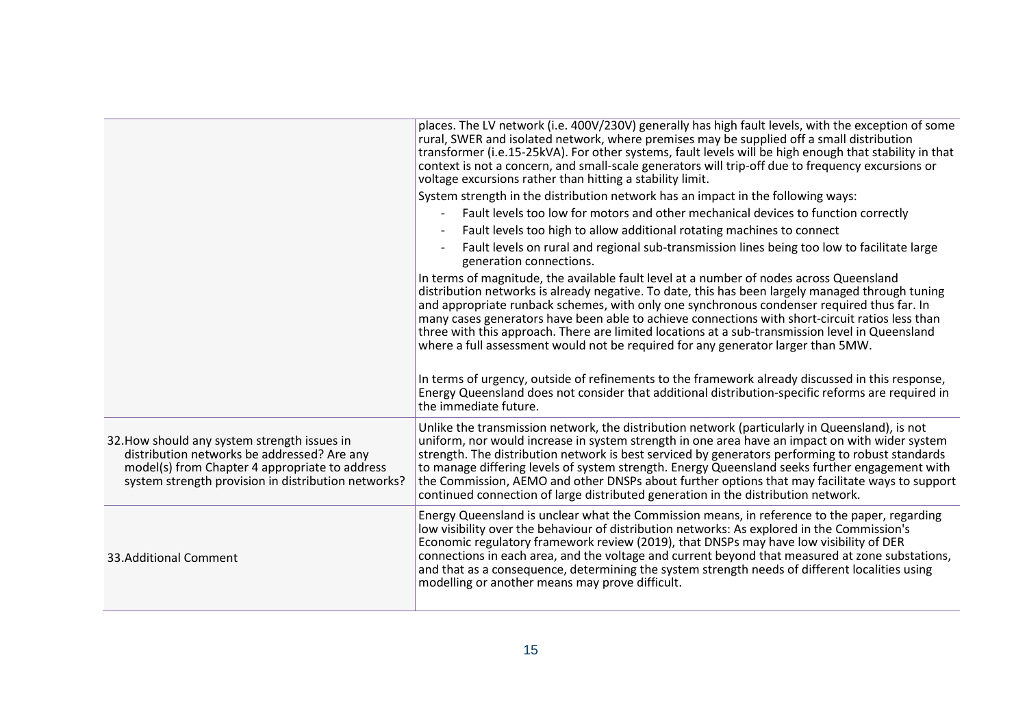|                                                                                                                                                                                                      | places. The LV network (i.e. 400V/230V) generally has high fault levels, with the exception of some<br>rural, SWER and isolated network, where premises may be supplied off a small distribution<br>transformer (i.e.15-25kVA). For other systems, fault levels will be high enough that stability in that<br>context is not a concern, and small-scale generators will trip-off due to frequency excursions or<br>voltage excursions rather than hitting a stability limit.                                                                                                                                                                                                            |
|------------------------------------------------------------------------------------------------------------------------------------------------------------------------------------------------------|-----------------------------------------------------------------------------------------------------------------------------------------------------------------------------------------------------------------------------------------------------------------------------------------------------------------------------------------------------------------------------------------------------------------------------------------------------------------------------------------------------------------------------------------------------------------------------------------------------------------------------------------------------------------------------------------|
|                                                                                                                                                                                                      | System strength in the distribution network has an impact in the following ways:                                                                                                                                                                                                                                                                                                                                                                                                                                                                                                                                                                                                        |
|                                                                                                                                                                                                      | Fault levels too low for motors and other mechanical devices to function correctly                                                                                                                                                                                                                                                                                                                                                                                                                                                                                                                                                                                                      |
|                                                                                                                                                                                                      | Fault levels too high to allow additional rotating machines to connect                                                                                                                                                                                                                                                                                                                                                                                                                                                                                                                                                                                                                  |
|                                                                                                                                                                                                      | Fault levels on rural and regional sub-transmission lines being too low to facilitate large<br>generation connections.                                                                                                                                                                                                                                                                                                                                                                                                                                                                                                                                                                  |
|                                                                                                                                                                                                      | In terms of magnitude, the available fault level at a number of nodes across Queensland<br>distribution networks is already negative. To date, this has been largely managed through tuning<br>and appropriate runback schemes, with only one synchronous condenser required thus far. In<br>many cases generators have been able to achieve connections with short-circuit ratios less than<br>three with this approach. There are limited locations at a sub-transmission level in Queensland<br>where a full assessment would not be required for any generator larger than 5MW.<br>In terms of urgency, outside of refinements to the framework already discussed in this response, |
|                                                                                                                                                                                                      | Energy Queensland does not consider that additional distribution-specific reforms are required in<br>the immediate future.                                                                                                                                                                                                                                                                                                                                                                                                                                                                                                                                                              |
| 32. How should any system strength issues in<br>distribution networks be addressed? Are any<br>model(s) from Chapter 4 appropriate to address<br>system strength provision in distribution networks? | Unlike the transmission network, the distribution network (particularly in Queensland), is not<br>uniform, nor would increase in system strength in one area have an impact on with wider system<br>strength. The distribution network is best serviced by generators performing to robust standards<br>to manage differing levels of system strength. Energy Queensland seeks further engagement with<br>the Commission, AEMO and other DNSPs about further options that may facilitate ways to support<br>continued connection of large distributed generation in the distribution network.                                                                                           |
| 33. Additional Comment                                                                                                                                                                               | Energy Queensland is unclear what the Commission means, in reference to the paper, regarding<br>low visibility over the behaviour of distribution networks: As explored in the Commission's<br>Economic regulatory framework review (2019), that DNSPs may have low visibility of DER<br>connections in each area, and the voltage and current beyond that measured at zone substations,<br>and that as a consequence, determining the system strength needs of different localities using<br>modelling or another means may prove difficult.                                                                                                                                           |
|                                                                                                                                                                                                      |                                                                                                                                                                                                                                                                                                                                                                                                                                                                                                                                                                                                                                                                                         |